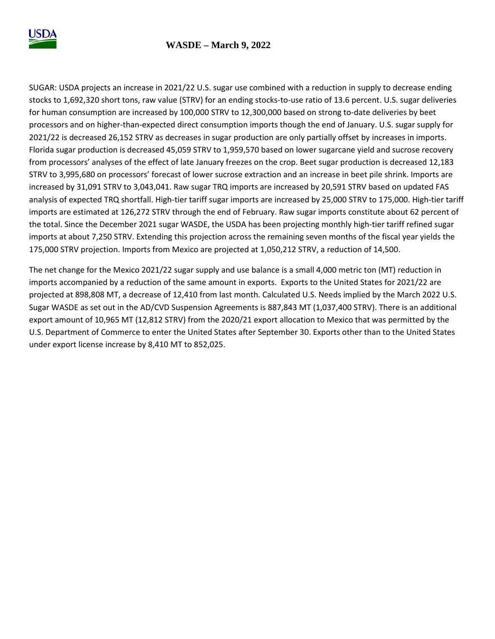

SUGAR: USDA projects an increase in 2021/22 U.S. sugar use combined with a reduction in supply to decrease ending stocks to 1,692,320 short tons, raw value (STRV) for an ending stocks-to-use ratio of 13.6 percent. U.S. sugar deliveries for human consumption are increased by 100,000 STRV to 12,300,000 based on strong to-date deliveries by beet processors and on higher-than-expected direct consumption imports though the end of January. U.S. sugar supply for 2021/22 is decreased 26,152 STRV as decreases in sugar production are only partially offset by increases in imports. Florida sugar production is decreased 45,059 STRV to 1,959,570 based on lower sugarcane yield and sucrose recovery from processors' analyses of the effect of late January freezes on the crop. Beet sugar production is decreased 12,183 STRV to 3,995,680 on processors' forecast of lower sucrose extraction and an increase in beet pile shrink. Imports are increased by 31,091 STRV to 3,043,041. Raw sugar TRQ imports are increased by 20,591 STRV based on updated FAS analysis of expected TRQ shortfall. High-tier tariff sugar imports are increased by 25,000 STRV to 175,000. High-tier tariff imports are estimated at 126,272 STRV through the end of February. Raw sugar imports constitute about 62 percent of the total. Since the December 2021 sugar WASDE, the USDA has been projecting monthly high-tier tariff refined sugar imports at about 7,250 STRV. Extending this projection across the remaining seven months of the fiscal year yields the 175,000 STRV projection. Imports from Mexico are projected at 1,050,212 STRV, a reduction of 14,500.

The net change for the Mexico 2021/22 sugar supply and use balance is a small 4,000 metric ton (MT) reduction in imports accompanied by a reduction of the same amount in exports. Exports to the United States for 2021/22 are projected at 898,808 MT, a decrease of 12,410 from last month. Calculated U.S. Needs implied by the March 2022 U.S. Sugar WASDE as set out in the AD/CVD Suspension Agreements is 887,843 MT (1,037,400 STRV). There is an additional export amount of 10,965 MT (12,812 STRV) from the 2020/21 export allocation to Mexico that was permitted by the U.S. Department of Commerce to enter the United States after September 30. Exports other than to the United States under export license increase by 8,410 MT to 852,025.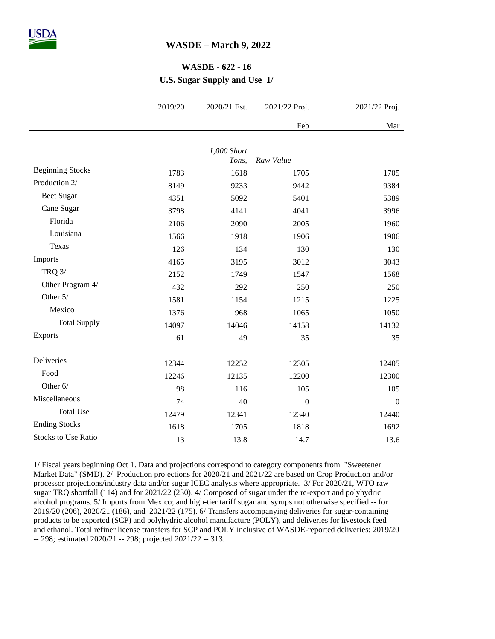## **WASDE – March 9, 2022**

## **WASDE - 622 - 16**

**U.S. Sugar Supply and Use 1/**

|                            | 2019/20 | 2020/21 Est. | 2021/22 Proj.    | 2021/22 Proj.    |
|----------------------------|---------|--------------|------------------|------------------|
|                            |         |              | Feb              | Mar              |
|                            |         |              |                  |                  |
|                            |         | 1,000 Short  |                  |                  |
|                            |         | Tons,        | Raw Value        |                  |
| <b>Beginning Stocks</b>    | 1783    | 1618         | 1705             | 1705             |
| Production 2/              | 8149    | 9233         | 9442             | 9384             |
| <b>Beet Sugar</b>          | 4351    | 5092         | 5401             | 5389             |
| Cane Sugar                 | 3798    | 4141         | 4041             | 3996             |
| Florida                    | 2106    | 2090         | 2005             | 1960             |
| Louisiana                  | 1566    | 1918         | 1906             | 1906             |
| Texas                      | 126     | 134          | 130              | 130              |
| Imports                    | 4165    | 3195         | 3012             | 3043             |
| <b>TRQ 3/</b>              | 2152    | 1749         | 1547             | 1568             |
| Other Program 4/           | 432     | 292          | 250              | 250              |
| Other 5/                   | 1581    | 1154         | 1215             | 1225             |
| Mexico                     | 1376    | 968          | 1065             | 1050             |
| <b>Total Supply</b>        | 14097   | 14046        | 14158            | 14132            |
| <b>Exports</b>             | 61      | 49           | 35               | 35               |
|                            |         |              |                  |                  |
| Deliveries                 | 12344   | 12252        | 12305            | 12405            |
| Food                       | 12246   | 12135        | 12200            | 12300            |
| Other 6/                   | 98      | 116          | 105              | 105              |
| Miscellaneous              | 74      | 40           | $\boldsymbol{0}$ | $\boldsymbol{0}$ |
| <b>Total Use</b>           | 12479   | 12341        | 12340            | 12440            |
| <b>Ending Stocks</b>       | 1618    | 1705         | 1818             | 1692             |
| <b>Stocks to Use Ratio</b> | 13      | 13.8         | 14.7             | 13.6             |
|                            |         |              |                  |                  |

1/ Fiscal years beginning Oct 1. Data and projections correspond to category components from "Sweetener Market Data" (SMD). 2/ Production projections for 2020/21 and 2021/22 are based on Crop Production and/or processor projections/industry data and/or sugar ICEC analysis where appropriate. 3/ For 2020/21, WTO raw sugar TRQ shortfall (114) and for 2021/22 (230). 4/ Composed of sugar under the re-export and polyhydric alcohol programs. 5/ Imports from Mexico; and high-tier tariff sugar and syrups not otherwise specified -- for 2019/20 (206), 2020/21 (186), and 2021/22 (175). 6/ Transfers accompanying deliveries for sugar-containing products to be exported (SCP) and polyhydric alcohol manufacture (POLY), and deliveries for livestock feed and ethanol. Total refiner license transfers for SCP and POLY inclusive of WASDE-reported deliveries: 2019/20 -- 298; estimated 2020/21 -- 298; projected 2021/22 -- 313.